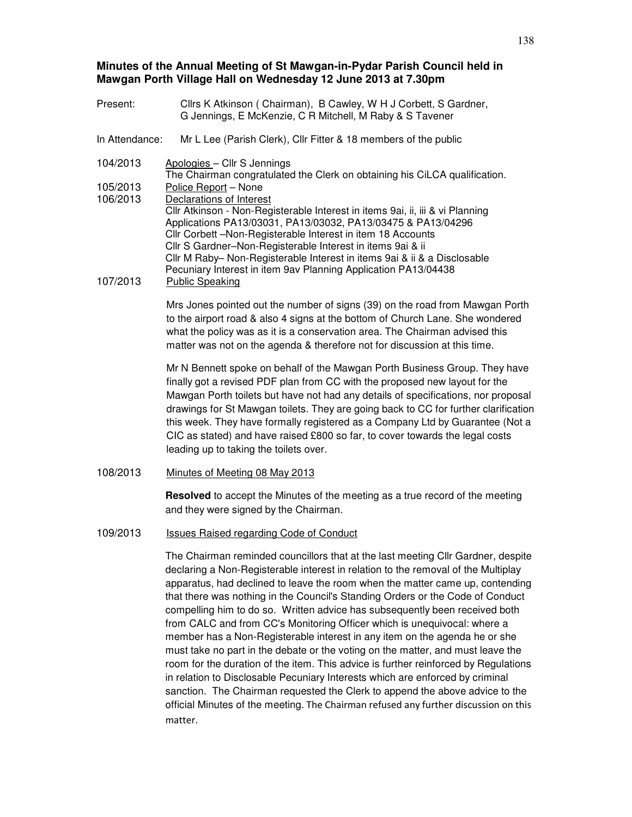# **Minutes of the Annual Meeting of St Mawgan-in-Pydar Parish Council held in Mawgan Porth Village Hall on Wednesday 12 June 2013 at 7.30pm**

| Present:             | Cllrs K Atkinson (Chairman), B Cawley, W H J Corbett, S Gardner,<br>G Jennings, E McKenzie, C R Mitchell, M Raby & S Tavener                                                                                                                                                                                                                                                                                                                                                                                                                     |
|----------------------|--------------------------------------------------------------------------------------------------------------------------------------------------------------------------------------------------------------------------------------------------------------------------------------------------------------------------------------------------------------------------------------------------------------------------------------------------------------------------------------------------------------------------------------------------|
| In Attendance:       | Mr L Lee (Parish Clerk), Cllr Fitter & 18 members of the public                                                                                                                                                                                                                                                                                                                                                                                                                                                                                  |
| 104/2013             | Apologies - Cllr S Jennings<br>The Chairman congratulated the Clerk on obtaining his CiLCA qualification.                                                                                                                                                                                                                                                                                                                                                                                                                                        |
| 105/2013<br>106/2013 | Police Report - None<br>Declarations of Interest                                                                                                                                                                                                                                                                                                                                                                                                                                                                                                 |
| 107/2013             | Cllr Atkinson - Non-Registerable Interest in items 9ai, ii, iii & vi Planning<br>Applications PA13/03031, PA13/03032, PA13/03475 & PA13/04296<br>Cllr Corbett -Non-Registerable Interest in item 18 Accounts<br>Cllr S Gardner-Non-Registerable Interest in items 9ai & ii<br>Cllr M Raby- Non-Registerable Interest in items 9ai & ii & a Disclosable<br>Pecuniary Interest in item 9av Planning Application PA13/04438<br><b>Public Speaking</b>                                                                                               |
|                      | Mrs Jones pointed out the number of signs (39) on the road from Mawgan Porth<br>to the airport road & also 4 signs at the bottom of Church Lane. She wondered<br>what the policy was as it is a conservation area. The Chairman advised this<br>matter was not on the agenda & therefore not for discussion at this time.                                                                                                                                                                                                                        |
|                      | Mr N Bennett spoke on behalf of the Mawgan Porth Business Group. They have<br>finally got a revised PDF plan from CC with the proposed new layout for the<br>Mawgan Porth toilets but have not had any details of specifications, nor proposal<br>drawings for St Mawgan toilets. They are going back to CC for further clarification<br>this week. They have formally registered as a Company Ltd by Guarantee (Not a<br>CIC as stated) and have raised £800 so far, to cover towards the legal costs<br>leading up to taking the toilets over. |
| 108/2013             | Minutes of Meeting 08 May 2013                                                                                                                                                                                                                                                                                                                                                                                                                                                                                                                   |
|                      | Resolved to accept the Minutes of the meeting as a true record of the meeting<br>and they were signed by the Chairman.                                                                                                                                                                                                                                                                                                                                                                                                                           |
| 109/2013             | Issues Raised regarding Code of Conduct                                                                                                                                                                                                                                                                                                                                                                                                                                                                                                          |
|                      | The Chairman reminded councillors that at the last meeting Cllr Gardner, despite                                                                                                                                                                                                                                                                                                                                                                                                                                                                 |

declaring a Non-Registerable interest in relation to the removal of the Multiplay apparatus, had declined to leave the room when the matter came up, contending that there was nothing in the Council's Standing Orders or the Code of Conduct compelling him to do so. Written advice has subsequently been received both from CALC and from CC's Monitoring Officer which is unequivocal: where a member has a Non-Registerable interest in any item on the agenda he or she must take no part in the debate or the voting on the matter, and must leave the room for the duration of the item. This advice is further reinforced by Regulations in relation to Disclosable Pecuniary Interests which are enforced by criminal sanction. The Chairman requested the Clerk to append the above advice to the official Minutes of the meeting. The Chairman refused any further discussion on this matter.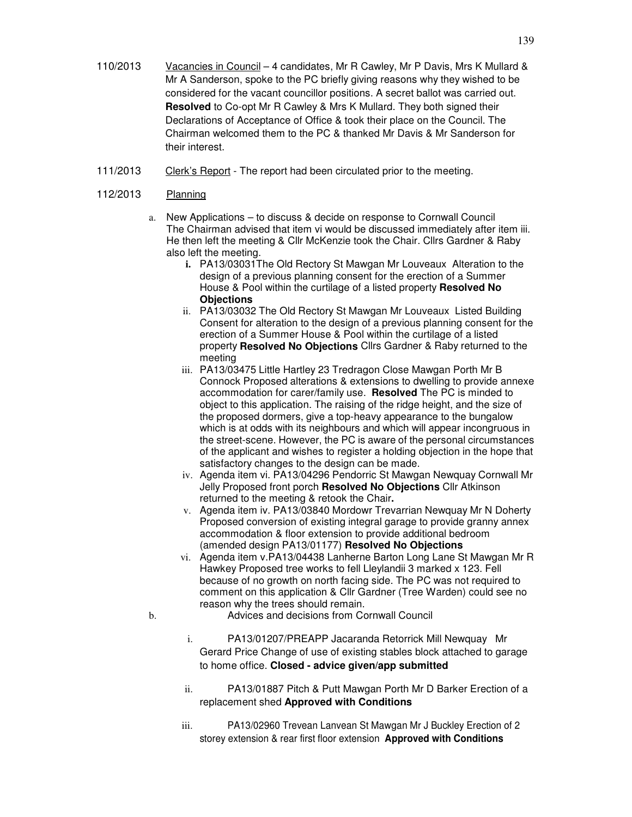- 110/2013 Vacancies in Council 4 candidates, Mr R Cawley, Mr P Davis, Mrs K Mullard & Mr A Sanderson, spoke to the PC briefly giving reasons why they wished to be considered for the vacant councillor positions. A secret ballot was carried out. **Resolved** to Co-opt Mr R Cawley & Mrs K Mullard. They both signed their Declarations of Acceptance of Office & took their place on the Council. The Chairman welcomed them to the PC & thanked Mr Davis & Mr Sanderson for their interest.
- 111/2013 Clerk's Report The report had been circulated prior to the meeting.

# 112/2013 Planning

- a. New Applications to discuss & decide on response to Cornwall Council The Chairman advised that item vi would be discussed immediately after item iii. He then left the meeting & Cllr McKenzie took the Chair. Cllrs Gardner & Raby also left the meeting.
	- **i.** PA13/03031The Old Rectory St Mawgan Mr Louveaux Alteration to the design of a previous planning consent for the erection of a Summer House & Pool within the curtilage of a listed property **Resolved No Objections**
	- ii. PA13/03032 The Old Rectory St Mawgan Mr Louveaux Listed Building Consent for alteration to the design of a previous planning consent for the erection of a Summer House & Pool within the curtilage of a listed property **Resolved No Objections** Cllrs Gardner & Raby returned to the meeting
	- iii. PA13/03475 Little Hartley 23 Tredragon Close Mawgan Porth Mr B Connock Proposed alterations & extensions to dwelling to provide annexe accommodation for carer/family use. **Resolved** The PC is minded to object to this application. The raising of the ridge height, and the size of the proposed dormers, give a top-heavy appearance to the bungalow which is at odds with its neighbours and which will appear incongruous in the street-scene. However, the PC is aware of the personal circumstances of the applicant and wishes to register a holding objection in the hope that satisfactory changes to the design can be made.
	- iv. Agenda item vi. PA13/04296 Pendorric St Mawgan Newquay Cornwall Mr Jelly Proposed front porch **Resolved No Objections** Cllr Atkinson returned to the meeting & retook the Chair**.**
	- v. Agenda item iv. PA13/03840 Mordowr Trevarrian Newquay Mr N Doherty Proposed conversion of existing integral garage to provide granny annex accommodation & floor extension to provide additional bedroom (amended design PA13/01177) **Resolved No Objections**
	- vi. Agenda item v.PA13/04438 Lanherne Barton Long Lane St Mawgan Mr R Hawkey Proposed tree works to fell Lleylandii 3 marked x 123. Fell because of no growth on north facing side. The PC was not required to comment on this application & Cllr Gardner (Tree Warden) could see no reason why the trees should remain.
- b. Advices and decisions from Cornwall Council
	- i. PA13/01207/PREAPP Jacaranda Retorrick Mill Newquay Mr Gerard Price Change of use of existing stables block attached to garage to home office. **Closed - advice given/app submitted**
	- ii. PA13/01887 Pitch & Putt Mawgan Porth Mr D Barker Erection of a replacement shed **Approved with Conditions**
	- iii. PA13/02960 Trevean Lanvean St Mawgan Mr J Buckley Erection of 2 storey extension & rear first floor extension **Approved with Conditions**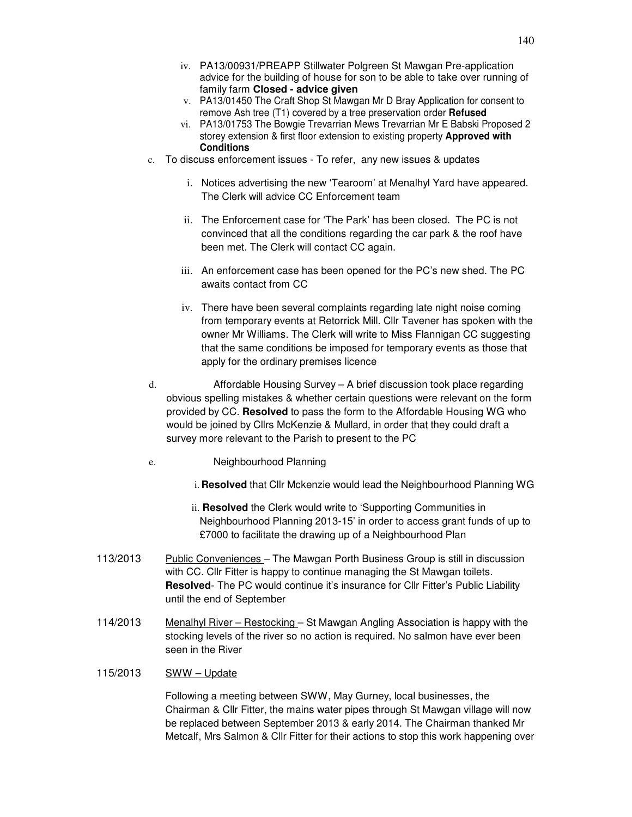- iv. PA13/00931/PREAPP Stillwater Polgreen St Mawgan Pre-application advice for the building of house for son to be able to take over running of family farm **Closed - advice given**
- v. PA13/01450 The Craft Shop St Mawgan Mr D Bray Application for consent to remove Ash tree (T1) covered by a tree preservation order **Refused**
- vi. PA13/01753 The Bowgie Trevarrian Mews Trevarrian Mr E Babski Proposed 2 storey extension & first floor extension to existing property **Approved with Conditions**
- c. To discuss enforcement issues To refer, any new issues & updates
	- i. Notices advertising the new 'Tearoom' at Menalhyl Yard have appeared. The Clerk will advice CC Enforcement team
	- ii. The Enforcement case for 'The Park' has been closed. The PC is not convinced that all the conditions regarding the car park & the roof have been met. The Clerk will contact CC again.
	- iii. An enforcement case has been opened for the PC's new shed. The PC awaits contact from CC
	- iv. There have been several complaints regarding late night noise coming from temporary events at Retorrick Mill. Cllr Tavener has spoken with the owner Mr Williams. The Clerk will write to Miss Flannigan CC suggesting that the same conditions be imposed for temporary events as those that apply for the ordinary premises licence
- d. Affordable Housing Survey A brief discussion took place regarding obvious spelling mistakes & whether certain questions were relevant on the form provided by CC. **Resolved** to pass the form to the Affordable Housing WG who would be joined by Cllrs McKenzie & Mullard, in order that they could draft a survey more relevant to the Parish to present to the PC
- e. Neighbourhood Planning
	- i. **Resolved** that Cllr Mckenzie would lead the Neighbourhood Planning WG
	- ii. **Resolved** the Clerk would write to 'Supporting Communities in Neighbourhood Planning 2013-15' in order to access grant funds of up to £7000 to facilitate the drawing up of a Neighbourhood Plan
- 113/2013 Public Conveniences The Mawgan Porth Business Group is still in discussion with CC. Cllr Fitter is happy to continue managing the St Mawgan toilets. **Resolved**- The PC would continue it's insurance for Cllr Fitter's Public Liability until the end of September
- 114/2013 Menalhyl River Restocking St Mawgan Angling Association is happy with the stocking levels of the river so no action is required. No salmon have ever been seen in the River
- 115/2013 SWW Update

Following a meeting between SWW, May Gurney, local businesses, the Chairman & Cllr Fitter, the mains water pipes through St Mawgan village will now be replaced between September 2013 & early 2014. The Chairman thanked Mr Metcalf, Mrs Salmon & Cllr Fitter for their actions to stop this work happening over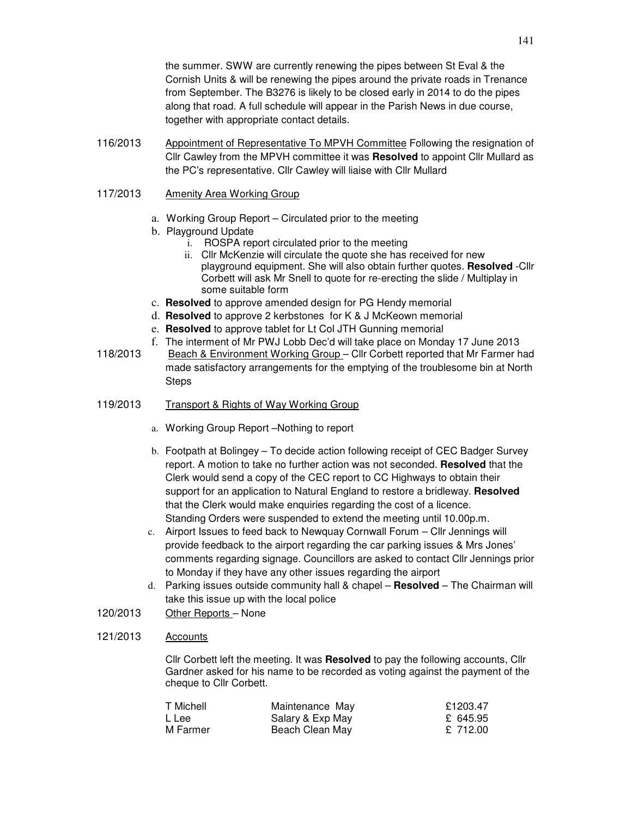the summer. SWW are currently renewing the pipes between St Eval & the Cornish Units & will be renewing the pipes around the private roads in Trenance from September. The B3276 is likely to be closed early in 2014 to do the pipes along that road. A full schedule will appear in the Parish News in due course, together with appropriate contact details.

116/2013 Appointment of Representative To MPVH Committee Following the resignation of Cllr Cawley from the MPVH committee it was **Resolved** to appoint Cllr Mullard as the PC's representative. Cllr Cawley will liaise with Cllr Mullard

# 117/2013 Amenity Area Working Group

- a. Working Group Report Circulated prior to the meeting
- b. Playground Update
	- i. ROSPA report circulated prior to the meeting
	- ii. Cllr McKenzie will circulate the quote she has received for new playground equipment. She will also obtain further quotes. **Resolved** -Cllr Corbett will ask Mr Snell to quote for re-erecting the slide / Multiplay in some suitable form
- c. **Resolved** to approve amended design for PG Hendy memorial
- d. **Resolved** to approve 2 kerbstones for K & J McKeown memorial
- e. **Resolved** to approve tablet for Lt Col JTH Gunning memorial
- f. The interment of Mr PWJ Lobb Dec'd will take place on Monday 17 June 2013 118/2013 Beach & Environment Working Group - Cllr Corbett reported that Mr Farmer had made satisfactory arrangements for the emptying of the troublesome bin at North **Steps**
- 119/2013 Transport & Rights of Way Working Group
	- a. Working Group Report –Nothing to report
	- b. Footpath at Bolingey To decide action following receipt of CEC Badger Survey report. A motion to take no further action was not seconded. **Resolved** that the Clerk would send a copy of the CEC report to CC Highways to obtain their support for an application to Natural England to restore a bridleway. **Resolved** that the Clerk would make enquiries regarding the cost of a licence. Standing Orders were suspended to extend the meeting until 10.00p.m.
	- c. Airport Issues to feed back to Newquay Cornwall Forum Cllr Jennings will provide feedback to the airport regarding the car parking issues & Mrs Jones' comments regarding signage. Councillors are asked to contact Cllr Jennings prior to Monday if they have any other issues regarding the airport
	- d. Parking issues outside community hall & chapel **Resolved**  The Chairman will take this issue up with the local police
- 120/2013 Other Reports None

### 121/2013 Accounts

Cllr Corbett left the meeting. It was **Resolved** to pay the following accounts, Cllr Gardner asked for his name to be recorded as voting against the payment of the cheque to Cllr Corbett.

| T Michell | Maintenance May  | £1203.47 |
|-----------|------------------|----------|
| L Lee     | Salary & Exp May | £ 645.95 |
| M Farmer  | Beach Clean May  | £ 712.00 |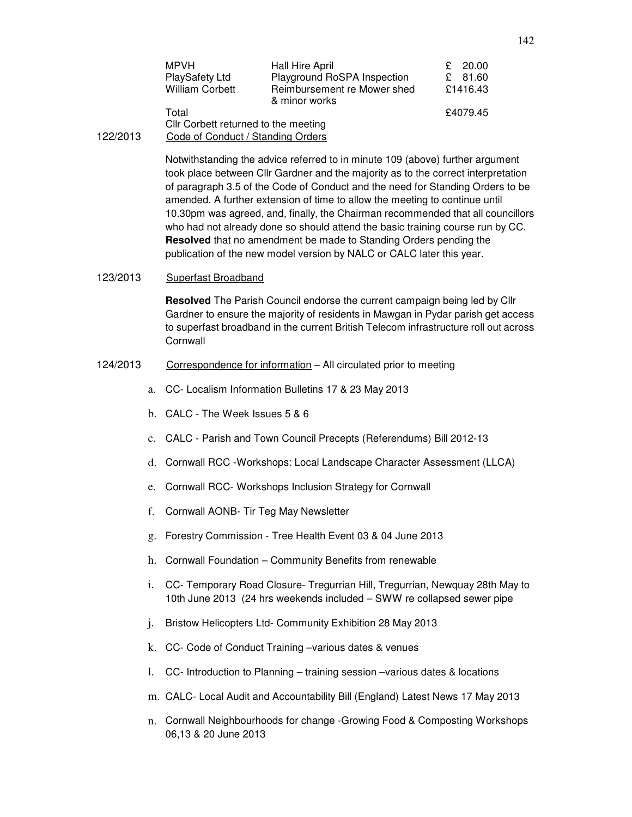|          | MPVH                                 | Hall Hire April                              | 20.00<br>£. |
|----------|--------------------------------------|----------------------------------------------|-------------|
|          | <b>PlaySafety Ltd</b>                | Playground RoSPA Inspection                  | 81.60<br>£. |
|          | <b>William Corbett</b>               | Reimbursement re Mower shed<br>& minor works | £1416.43    |
|          | Total                                |                                              | £4079.45    |
|          | Cllr Corbett returned to the meeting |                                              |             |
| 122/2013 | Code of Conduct / Standing Orders    |                                              |             |

Notwithstanding the advice referred to in minute 109 (above) further argument took place between Cllr Gardner and the majority as to the correct interpretation of paragraph 3.5 of the Code of Conduct and the need for Standing Orders to be amended. A further extension of time to allow the meeting to continue until 10.30pm was agreed, and, finally, the Chairman recommended that all councillors who had not already done so should attend the basic training course run by CC. **Resolved** that no amendment be made to Standing Orders pending the publication of the new model version by NALC or CALC later this year.

#### 123/2013 Superfast Broadband

**Resolved** The Parish Council endorse the current campaign being led by Cllr Gardner to ensure the majority of residents in Mawgan in Pydar parish get access to superfast broadband in the current British Telecom infrastructure roll out across **Cornwall** 

# 124/2013 Correspondence for information – All circulated prior to meeting

- a. CC- Localism Information Bulletins 17 & 23 May 2013
- b. CALC The Week Issues 5 & 6
- c. CALC Parish and Town Council Precepts (Referendums) Bill 2012-13
- d. Cornwall RCC -Workshops: Local Landscape Character Assessment (LLCA)
- e. Cornwall RCC- Workshops Inclusion Strategy for Cornwall
- f. Cornwall AONB- Tir Teg May Newsletter
- g. Forestry Commission Tree Health Event 03 & 04 June 2013
- h. Cornwall Foundation Community Benefits from renewable
- i. CC- Temporary Road Closure- Tregurrian Hill, Tregurrian, Newquay 28th May to 10th June 2013 (24 hrs weekends included – SWW re collapsed sewer pipe
- j. Bristow Helicopters Ltd- Community Exhibition 28 May 2013
- k. CC- Code of Conduct Training –various dates & venues
- l. CC- Introduction to Planning training session –various dates & locations
- m. CALC- Local Audit and Accountability Bill (England) Latest News 17 May 2013
- n. Cornwall Neighbourhoods for change -Growing Food & Composting Workshops 06,13 & 20 June 2013